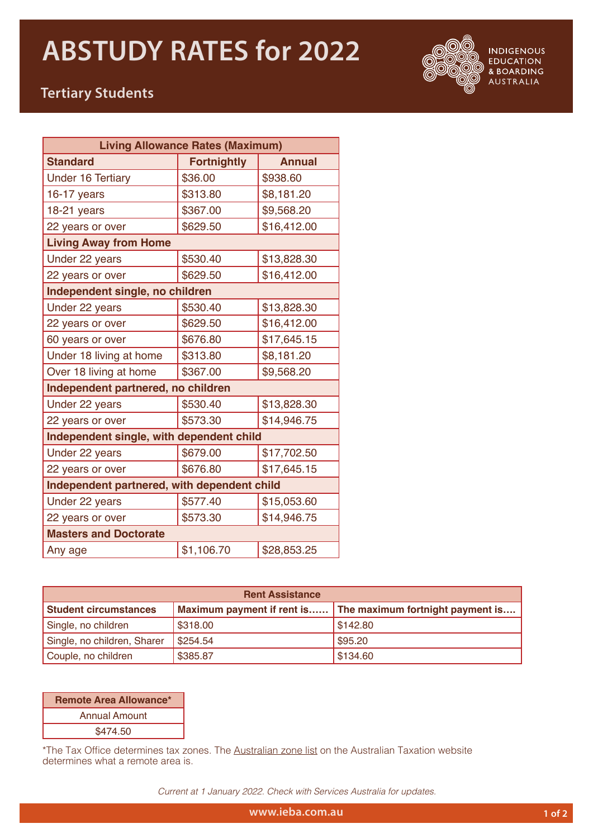## **ABSTUDY RATES for 2022**



**INDIGENOUS EDUCATION** & BOARDING AUSTRALIA

## **Tertiary Students**

| <b>Living Allowance Rates (Maximum)</b>     |                    |               |  |  |
|---------------------------------------------|--------------------|---------------|--|--|
| <b>Standard</b>                             | <b>Fortnightly</b> | <b>Annual</b> |  |  |
| <b>Under 16 Tertiary</b>                    | \$36.00            | \$938.60      |  |  |
| $16-17$ years                               | \$313.80           | \$8,181.20    |  |  |
| 18-21 years                                 | \$367.00           | \$9,568.20    |  |  |
| 22 years or over                            | \$629.50           | \$16,412.00   |  |  |
| <b>Living Away from Home</b>                |                    |               |  |  |
| Under 22 years                              | \$530.40           | \$13,828.30   |  |  |
| 22 years or over                            | \$629.50           | \$16,412.00   |  |  |
| Independent single, no children             |                    |               |  |  |
| Under 22 years                              | \$530.40           | \$13,828.30   |  |  |
| 22 years or over                            | \$629.50           | \$16,412.00   |  |  |
| 60 years or over                            | \$676.80           | \$17,645.15   |  |  |
| Under 18 living at home                     | \$313.80           | \$8,181.20    |  |  |
| Over 18 living at home                      | \$367.00           | \$9,568.20    |  |  |
| Independent partnered, no children          |                    |               |  |  |
| Under 22 years                              | \$530.40           | \$13,828.30   |  |  |
| 22 years or over                            | \$573.30           | \$14,946.75   |  |  |
| Independent single, with dependent child    |                    |               |  |  |
| Under 22 years                              | \$679.00           | \$17,702.50   |  |  |
| 22 years or over                            | \$676.80           | \$17,645.15   |  |  |
| Independent partnered, with dependent child |                    |               |  |  |
| Under 22 years                              | \$577.40           | \$15,053.60   |  |  |
| 22 years or over                            | \$573.30           | \$14,946.75   |  |  |
| <b>Masters and Doctorate</b>                |                    |               |  |  |
| Any age                                     | \$1,106.70         | \$28,853.25   |  |  |

| <b>Rent Assistance</b>       |          |                                                             |  |  |
|------------------------------|----------|-------------------------------------------------------------|--|--|
| <b>Student circumstances</b> |          | Maximum payment if rent is The maximum fortnight payment is |  |  |
| Single, no children          | \$318.00 | \$142.80                                                    |  |  |
| Single, no children, Sharer  | \$254.54 | \$95.20                                                     |  |  |
| Couple, no children          | \$385.87 | \$134.60                                                    |  |  |

| <b>Remote Area Allowance*</b> |  |  |
|-------------------------------|--|--|
| <b>Annual Amount</b>          |  |  |
| \$474.50                      |  |  |

\*The Tax Office determines tax zones. The [Australian zone list](https://www.ato.gov.au/calculators-and-tools/australian-zone-list/) on the Australian Taxation website determines what a remote area is.

*Current at 1 January 2022. Check with Services Australia for updates.*